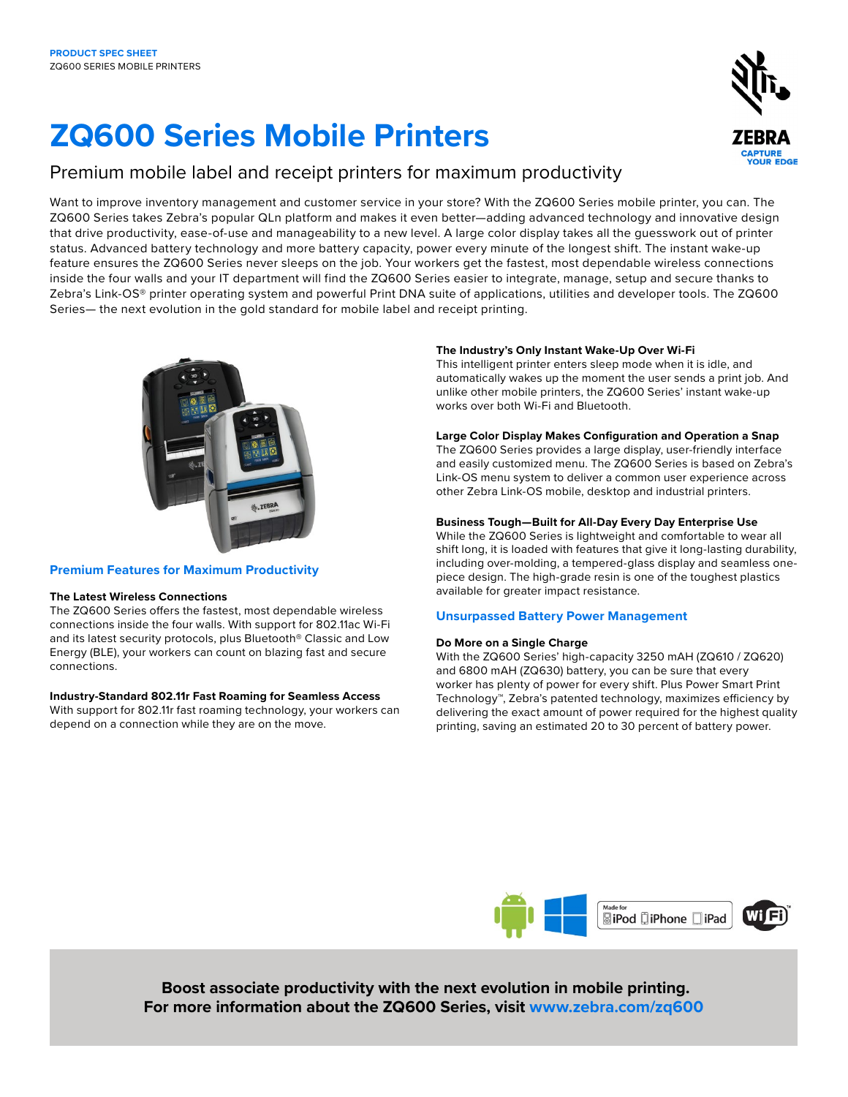# **ZQ600 Series Mobile Printers**

# Premium mobile label and receipt printers for maximum productivity

Want to improve inventory management and customer service in your store? With the ZQ600 Series mobile printer, you can. The ZQ600 Series takes Zebra's popular QLn platform and makes it even better—adding advanced technology and innovative design that drive productivity, ease-of-use and manageability to a new level. A large color display takes all the guesswork out of printer status. Advanced battery technology and more battery capacity, power every minute of the longest shift. The instant wake-up feature ensures the ZQ600 Series never sleeps on the job. Your workers get the fastest, most dependable wireless connections inside the four walls and your IT department will find the ZQ600 Series easier to integrate, manage, setup and secure thanks to Zebra's Link-OS® printer operating system and powerful Print DNA suite of applications, utilities and developer tools. The ZQ600 Series— the next evolution in the gold standard for mobile label and receipt printing.



# **Premium Features for Maximum Productivity**

#### **The Latest Wireless Connections**

The ZQ600 Series offers the fastest, most dependable wireless connections inside the four walls. With support for 802.11ac Wi-Fi and its latest security protocols, plus Bluetooth® Classic and Low Energy (BLE), your workers can count on blazing fast and secure connections.

#### **Industry-Standard 802.11r Fast Roaming for Seamless Access**

With support for 802.11r fast roaming technology, your workers can depend on a connection while they are on the move.

# **The Industry's Only Instant Wake-Up Over Wi-Fi**

This intelligent printer enters sleep mode when it is idle, and automatically wakes up the moment the user sends a print job. And unlike other mobile printers, the ZQ600 Series' instant wake-up works over both Wi-Fi and Bluetooth.

# **Large Color Display Makes Configuration and Operation a Snap**

The ZQ600 Series provides a large display, user-friendly interface and easily customized menu. The ZQ600 Series is based on Zebra's Link-OS menu system to deliver a common user experience across other Zebra Link-OS mobile, desktop and industrial printers.

# **Business Tough—Built for All-Day Every Day Enterprise Use**

While the ZQ600 Series is lightweight and comfortable to wear all shift long, it is loaded with features that give it long-lasting durability, including over-molding, a tempered-glass display and seamless onepiece design. The high-grade resin is one of the toughest plastics available for greater impact resistance.

# **Unsurpassed Battery Power Management**

#### **Do More on a Single Charge**

With the ZQ600 Series' high-capacity 3250 mAH (ZQ610 / ZQ620) and 6800 mAH (ZQ630) battery, you can be sure that every worker has plenty of power for every shift. Plus Power Smart Print Technology™, Zebra's patented technology, maximizes efficiency by delivering the exact amount of power required for the highest quality printing, saving an estimated 20 to 30 percent of battery power.



 **Boost associate productivity with the next evolution in mobile printing. For more information about the ZQ600 Series, visit [www.zebra.com/](http://www.zebra.com/zq600)zq600**

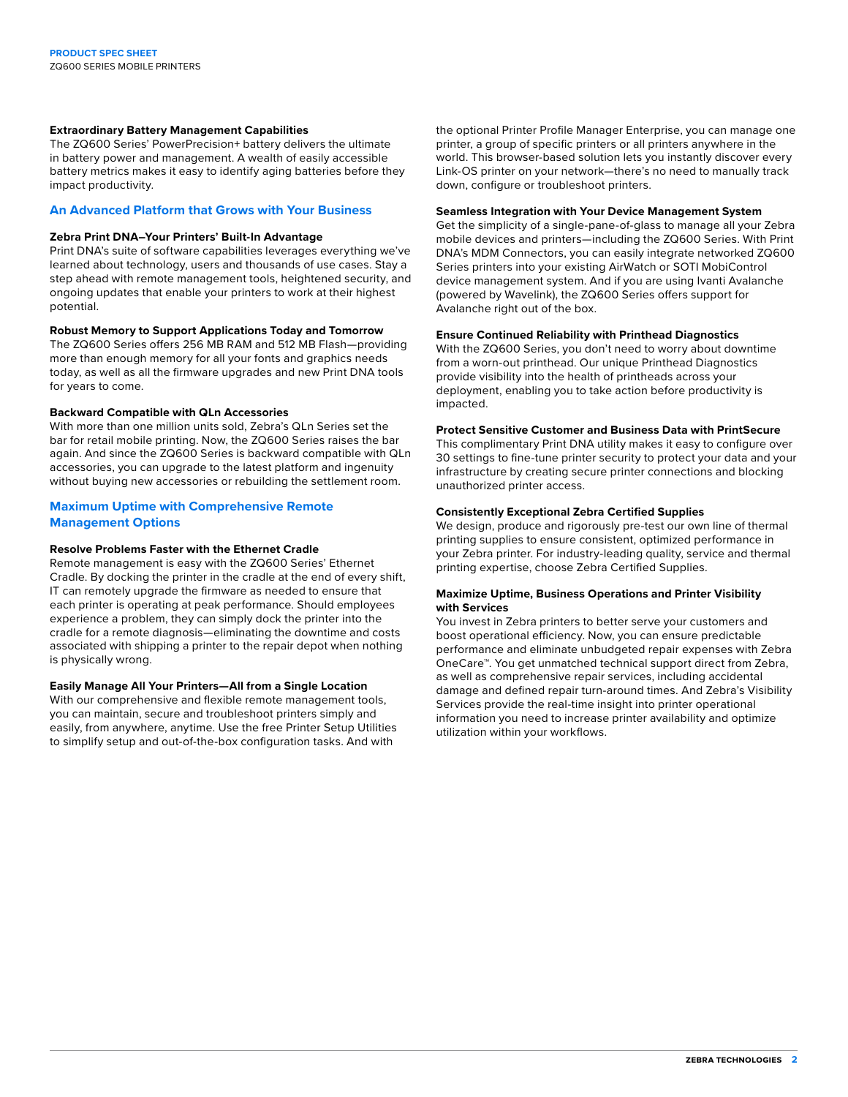#### **Extraordinary Battery Management Capabilities**

The ZQ600 Series' PowerPrecision+ battery delivers the ultimate in battery power and management. A wealth of easily accessible battery metrics makes it easy to identify aging batteries before they impact productivity.

### **An Advanced Platform that Grows with Your Business**

#### **Zebra Print DNA–Your Printers' Built-In Advantage**

Print DNA's suite of software capabilities leverages everything we've learned about technology, users and thousands of use cases. Stay a step ahead with remote management tools, heightened security, and ongoing updates that enable your printers to work at their highest potential.

# **Robust Memory to Support Applications Today and Tomorrow**

The ZQ600 Series offers 256 MB RAM and 512 MB Flash—providing more than enough memory for all your fonts and graphics needs today, as well as all the firmware upgrades and new Print DNA tools for years to come.

#### **Backward Compatible with QLn Accessories**

With more than one million units sold, Zebra's QLn Series set the bar for retail mobile printing. Now, the ZQ600 Series raises the bar again. And since the ZQ600 Series is backward compatible with QLn accessories, you can upgrade to the latest platform and ingenuity without buying new accessories or rebuilding the settlement room.

# **Maximum Uptime with Comprehensive Remote Management Options**

### **Resolve Problems Faster with the Ethernet Cradle**

Remote management is easy with the ZQ600 Series' Ethernet Cradle. By docking the printer in the cradle at the end of every shift, IT can remotely upgrade the firmware as needed to ensure that each printer is operating at peak performance. Should employees experience a problem, they can simply dock the printer into the cradle for a remote diagnosis—eliminating the downtime and costs associated with shipping a printer to the repair depot when nothing is physically wrong.

#### **Easily Manage All Your Printers—All from a Single Location**

With our comprehensive and flexible remote management tools, you can maintain, secure and troubleshoot printers simply and easily, from anywhere, anytime. Use the free Printer Setup Utilities to simplify setup and out-of-the-box configuration tasks. And with

the optional Printer Profile Manager Enterprise, you can manage one printer, a group of specific printers or all printers anywhere in the world. This browser-based solution lets you instantly discover every Link-OS printer on your network—there's no need to manually track down, configure or troubleshoot printers.

#### **Seamless Integration with Your Device Management System**

Get the simplicity of a single-pane-of-glass to manage all your Zebra mobile devices and printers—including the ZQ600 Series. With Print DNA's MDM Connectors, you can easily integrate networked ZQ600 Series printers into your existing AirWatch or SOTI MobiControl device management system. And if you are using Ivanti Avalanche (powered by Wavelink), the ZQ600 Series offers support for Avalanche right out of the box.

#### **Ensure Continued Reliability with Printhead Diagnostics**

With the ZQ600 Series, you don't need to worry about downtime from a worn-out printhead. Our unique Printhead Diagnostics provide visibility into the health of printheads across your deployment, enabling you to take action before productivity is impacted.

#### **Protect Sensitive Customer and Business Data with PrintSecure**

This complimentary Print DNA utility makes it easy to configure over 30 settings to fine-tune printer security to protect your data and your infrastructure by creating secure printer connections and blocking unauthorized printer access.

### **Consistently Exceptional Zebra Certified Supplies**

We design, produce and rigorously pre-test our own line of thermal printing supplies to ensure consistent, optimized performance in your Zebra printer. For industry-leading quality, service and thermal printing expertise, choose Zebra Certified Supplies.

#### **Maximize Uptime, Business Operations and Printer Visibility with Services**

You invest in Zebra printers to better serve your customers and boost operational efficiency. Now, you can ensure predictable performance and eliminate unbudgeted repair expenses with Zebra OneCare™. You get unmatched technical support direct from Zebra, as well as comprehensive repair services, including accidental damage and defined repair turn-around times. And Zebra's Visibility Services provide the real-time insight into printer operational information you need to increase printer availability and optimize utilization within your workflows.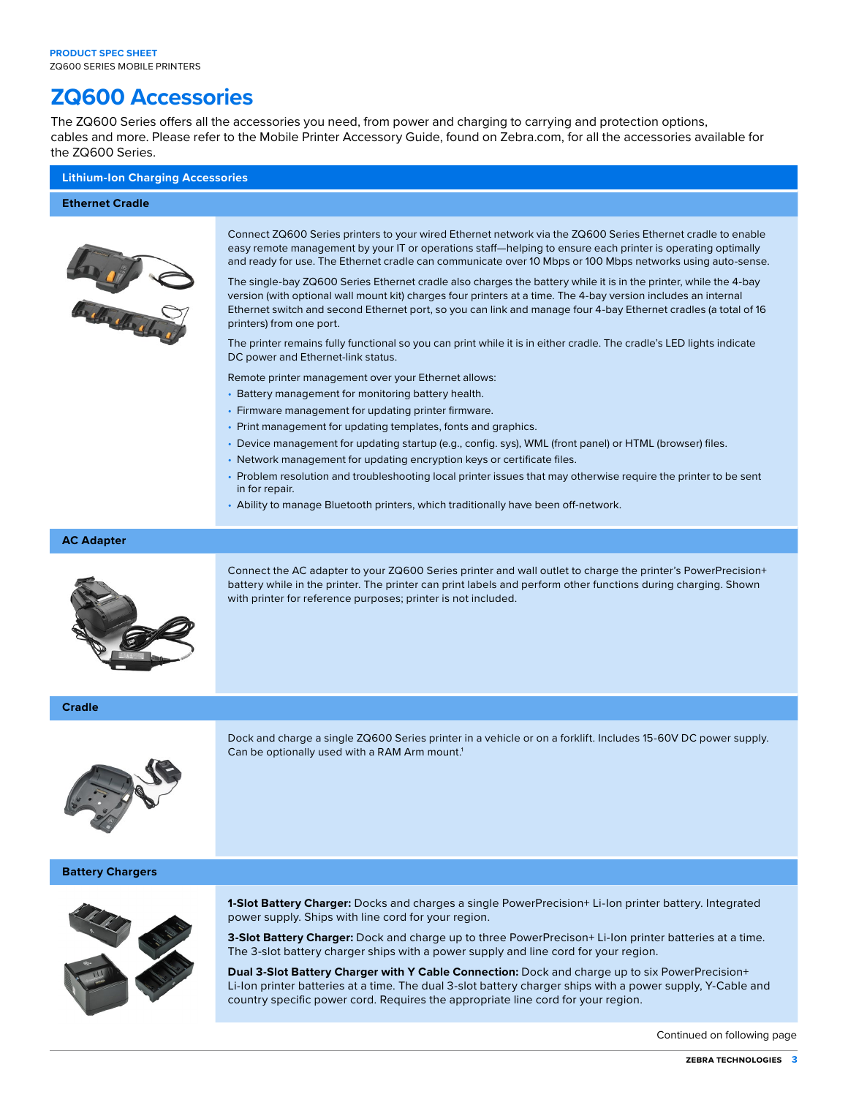# **ZQ600 Accessories**

The ZQ600 Series offers all the accessories you need, from power and charging to carrying and protection options, cables and more. Please refer to the Mobile Printer Accessory Guide, found on Zebra.com, for all the accessories available for the ZQ600 Series.

# **Lithium-Ion Charging Accessories**

#### **Ethernet Cradle**



Connect ZQ600 Series printers to your wired Ethernet network via the ZQ600 Series Ethernet cradle to enable easy remote management by your IT or operations staff—helping to ensure each printer is operating optimally and ready for use. The Ethernet cradle can communicate over 10 Mbps or 100 Mbps networks using auto-sense.

The single-bay ZQ600 Series Ethernet cradle also charges the battery while it is in the printer, while the 4-bay version (with optional wall mount kit) charges four printers at a time. The 4-bay version includes an internal Ethernet switch and second Ethernet port, so you can link and manage four 4-bay Ethernet cradles (a total of 16 printers) from one port.

The printer remains fully functional so you can print while it is in either cradle. The cradle's LED lights indicate DC power and Ethernet-link status.

Remote printer management over your Ethernet allows:

- Battery management for monitoring battery health.
- Firmware management for updating printer firmware.
- Print management for updating templates, fonts and graphics.
- Device management for updating startup (e.g., config. sys), WML (front panel) or HTML (browser) files.
- Network management for updating encryption keys or certificate files.
- Problem resolution and troubleshooting local printer issues that may otherwise require the printer to be sent in for repair.
- Ability to manage Bluetooth printers, which traditionally have been off-network.

#### **AC Adapter**



Connect the AC adapter to your ZQ600 Series printer and wall outlet to charge the printer's PowerPrecision+ battery while in the printer. The printer can print labels and perform other functions during charging. Shown with printer for reference purposes; printer is not included.

**Cradle**



Dock and charge a single ZQ600 Series printer in a vehicle or on a forklift. Includes 15-60V DC power supply. Can be optionally used with a RAM Arm mount.<sup>1</sup>

#### **Battery Chargers**



**1-Slot Battery Charger:** Docks and charges a single PowerPrecision+ Li-Ion printer battery. Integrated power supply. Ships with line cord for your region.

**3-Slot Battery Charger:** Dock and charge up to three PowerPrecison+ Li-Ion printer batteries at a time. The 3-slot battery charger ships with a power supply and line cord for your region.

**Dual 3-Slot Battery Charger with Y Cable Connection:** Dock and charge up to six PowerPrecision+ Li-Ion printer batteries at a time. The dual 3-slot battery charger ships with a power supply, Y-Cable and country specific power cord. Requires the appropriate line cord for your region.

Continued on following page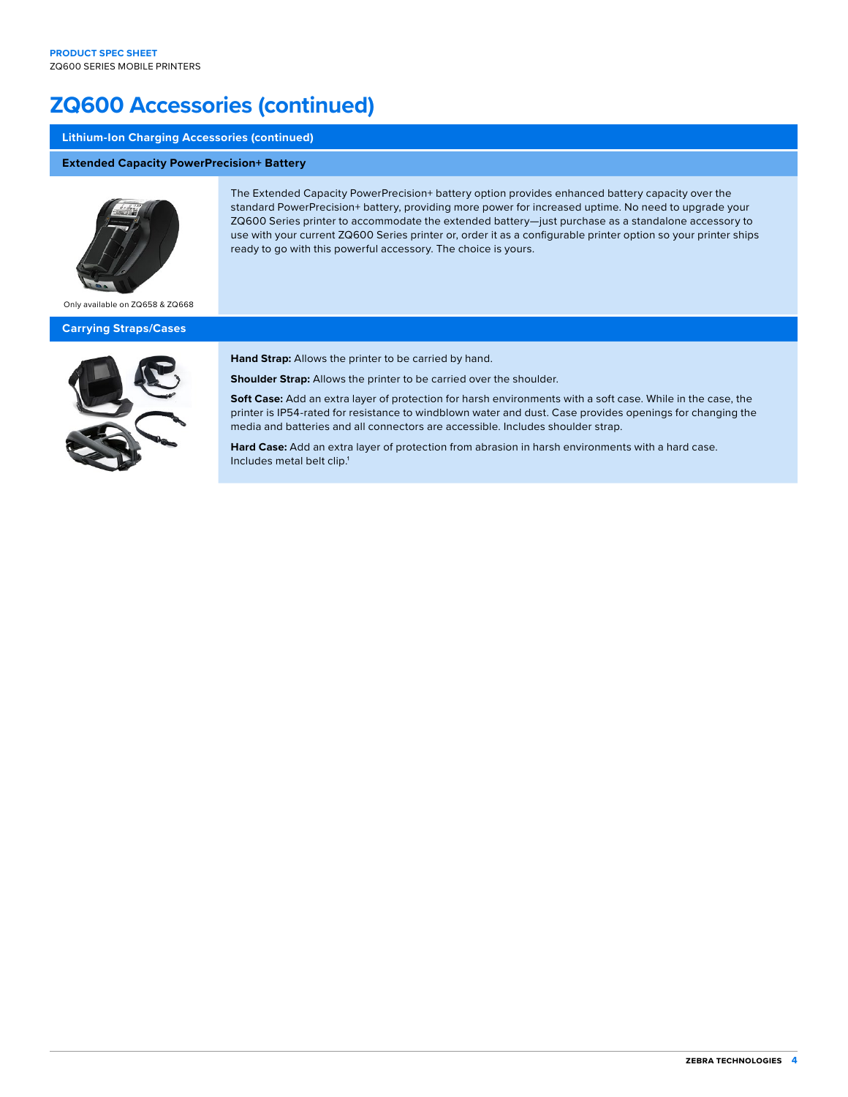# **ZQ600 Accessories (continued)**

# **Lithium-Ion Charging Accessories (continued)**

# **Extended Capacity PowerPrecision+ Battery**



The Extended Capacity PowerPrecision+ battery option provides enhanced battery capacity over the standard PowerPrecision+ battery, providing more power for increased uptime. No need to upgrade your ZQ600 Series printer to accommodate the extended battery—just purchase as a standalone accessory to use with your current ZQ600 Series printer or, order it as a configurable printer option so your printer ships ready to go with this powerful accessory. The choice is yours.

Only available on ZQ658 & ZQ668

#### **Carrying Straps/Cases**



**Hand Strap:** Allows the printer to be carried by hand.

**Shoulder Strap:** Allows the printer to be carried over the shoulder.

**Soft Case:** Add an extra layer of protection for harsh environments with a soft case. While in the case, the printer is IP54-rated for resistance to windblown water and dust. Case provides openings for changing the media and batteries and all connectors are accessible. Includes shoulder strap.

**Hard Case:** Add an extra layer of protection from abrasion in harsh environments with a hard case. Includes metal belt clip.<sup>1</sup>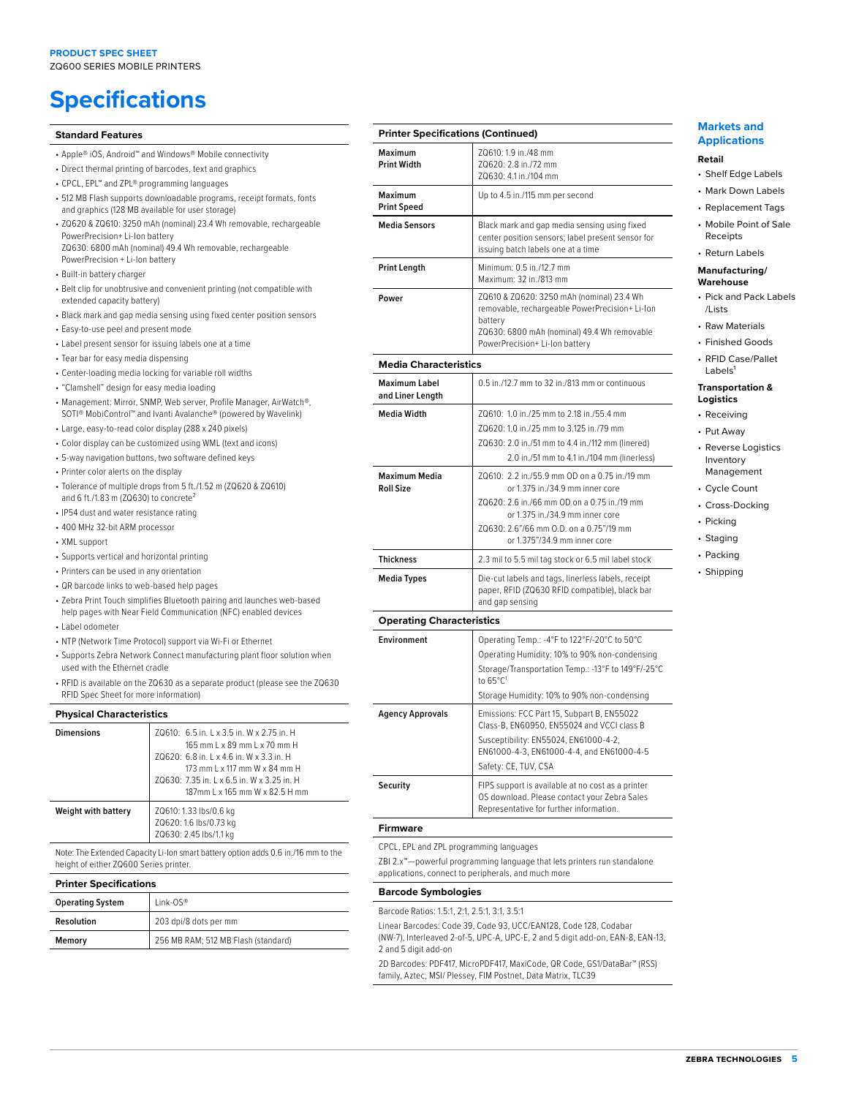# **Specifications**

#### **Standard Features**

- Apple® iOS, Android™ and Windows® Mobile connectivity
- Direct thermal printing of barcodes, text and graphics
- CPCL, EPL™ and ZPL® programming languages
- 512 MB Flash supports downloadable programs, receipt formats, fonts and graphics (128 MB available for user storage)
- ZQ620 & ZQ610: 3250 mAh (nominal) 23.4 Wh removable, rechargeable PowerPrecision+ Li-Ion battery ZQ630: 6800 mAh (nominal) 49.4 Wh removable, rechargeable PowerPrecision + Li-Ion battery
- Built-in battery charger
- Belt clip for unobtrusive and convenient printing (not compatible with extended capacity battery)
- Black mark and gap media sensing using fixed center position sensors
- Easy-to-use peel and present mode
- Label present sensor for issuing labels one at a time
- Tear bar for easy media dispensing
- Center-loading media locking for variable roll widths
- "Clamshell" design for easy media loading
- Management: Mirror, SNMP, Web server, Profile Manager, AirWatch®, SOTI® MobiControl**™** and Ivanti Avalanche® (powered by Wavelink)
- Large, easy-to-read color display (288 x 240 pixels)
- Color display can be customized using WML (text and icons)
- 5-way navigation buttons, two software defined keys
- Printer color alerts on the display
- Tolerance of multiple drops from 5 ft./1.52 m (ZQ620 & ZQ610) and 6 ft./1.83 m (ZQ630) to concrete<sup>2</sup>
- IP54 dust and water resistance rating
- 400 MHz 32-bit ARM processor
- XML support
- Supports vertical and horizontal printing
- Printers can be used in any orientation
- QR barcode links to web-based help pages
- Zebra Print Touch simplifies Bluetooth pairing and launches web-based help pages with Near Field Communication (NFC) enabled devices
- Label odometer
- NTP (Network Time Protocol) support via Wi-Fi or Ethernet
- Supports Zebra Network Connect manufacturing plant floor solution when used with the Ethernet cradle
- RFID is available on the ZQ630 as a separate product (please see the ZQ630 RFID Spec Sheet for more information)

| <b>Physical Characteristics</b> |                                                                                                                                                                                                                                        |
|---------------------------------|----------------------------------------------------------------------------------------------------------------------------------------------------------------------------------------------------------------------------------------|
| <b>Dimensions</b>               | ZQ610: 6.5 in. L x 3.5 in. W x 2.75 in. H<br>165 mm L x 89 mm L x 70 mm H<br>ZQ620: 6.8 in. L x 4.6 in. W x 3.3 in. H<br>173 mm L x 117 mm W x 84 mm H<br>ZQ630: 7.35 in. L x 6.5 in. W x 3.25 in. H<br>187mm L x 165 mm W x 82.5 H mm |
| <b>Weight with battery</b>      | ZQ610: 1.33 lbs/0.6 kg<br>ZQ620: 1.6 lbs/0.73 kg<br>ZQ630: 2.45 lbs/1.1 kg                                                                                                                                                             |

Note: The Extended Capacity Li-Ion smart battery option adds 0.6 in./16 mm to the height of either ZQ600 Series printer.

#### **Printer Specifications**

| <b>Operating System</b> | $link-OS^*$                         |
|-------------------------|-------------------------------------|
| Resolution              | 203 dpi/8 dots per mm               |
| Memory                  | 256 MB RAM; 512 MB Flash (standard) |

| <b>Printer Specifications (Continued)</b> |                                                                                                                                                                                                                                               |  |
|-------------------------------------------|-----------------------------------------------------------------------------------------------------------------------------------------------------------------------------------------------------------------------------------------------|--|
| Maximum<br><b>Print Width</b>             | ZQ610: 1.9 in./48 mm<br>ZQ620: 2.8 in./72 mm<br>ZQ630: 4.1 in./104 mm                                                                                                                                                                         |  |
| Maximum<br><b>Print Speed</b>             | Up to 4.5 in./115 mm per second                                                                                                                                                                                                               |  |
| <b>Media Sensors</b>                      | Black mark and gap media sensing using fixed<br>center position sensors; label present sensor for<br>issuing batch labels one at a time                                                                                                       |  |
| <b>Print Length</b>                       | Minimum: 0.5 in /12.7 mm<br>Maximum: 32 in./813 mm                                                                                                                                                                                            |  |
| Power                                     | ZQ610 & ZQ620: 3250 mAh (nominal) 23.4 Wh<br>removable, rechargeable PowerPrecision+ Li-lon<br>battery<br>ZQ630: 6800 mAh (nominal) 49.4 Wh removable<br>PowerPrecision+Li-Ion battery                                                        |  |
| <b>Media Characteristics</b>              |                                                                                                                                                                                                                                               |  |
| <b>Maximum Label</b><br>and Liner Length  | 0.5 in./12.7 mm to 32 in./813 mm or continuous                                                                                                                                                                                                |  |
| <b>Media Width</b>                        | ZQ610: 1.0 in./25 mm to 2.18 in./55.4 mm<br>ZQ620: 1.0 in./25 mm to 3.125 in./79 mm<br>ZQ630: 2.0 in./51 mm to 4.4 in./112 mm (linered)<br>2.0 in./51 mm to 4.1 in./104 mm (linerless)                                                        |  |
| <b>Maximum Media</b><br><b>Roll Size</b>  | ZQ610: 2.2 in./55.9 mm OD on a 0.75 in./19 mm<br>or 1.375 in./34.9 mm inner core<br>ZQ620: 2.6 in./66 mm OD on a 0.75 in./19 mm<br>or 1.375 in./34.9 mm inner core<br>70630: 2.6"/66 mm 0.D. on a 0.75"/19 mm<br>or 1.375"/34.9 mm inner core |  |
| <b>Thickness</b>                          | 2.3 mil to 5.5 mil tag stock or 6.5 mil label stock                                                                                                                                                                                           |  |
| <b>Media Types</b>                        | Die-cut labels and tags, linerless labels, receipt<br>paper, RFID (ZQ630 RFID compatible), black bar<br>and gap sensing                                                                                                                       |  |
| <b>Operating Characteristics</b>          |                                                                                                                                                                                                                                               |  |
| Environment                               | Operating Temp.: -4°F to 122°F/-20°C to 50°C<br>Operating Humidity: 10% to 90% non-condensing<br>Storage/Transportation Temp.: -13°F to 149°F/-25°C<br>to 65°C1<br>Storage Humidity: 10% to 90% non-condensing                                |  |
|                                           | ALECC BAN 4E CURANTE ENFECTO                                                                                                                                                                                                                  |  |

#### **Markets and Applications Retail**

- Shelf Edge Labels
- Mark Down Labels
- Replacement Tags
- Mobile Point of Sale Receipts
	- Return Labels

#### **Manufacturing/ Warehouse**

- Pick and Pack Labels /Lists
- Raw Materials
- Finished Goods
- RFID Case/Pallet Labels<sup>®</sup>

#### **Transportation & Logistics**

- Receiving
- Put Away
- Reverse Logistics Inventory Management
- Cycle Count
- Cross-Docking
- Picking
- Staging
- Packing
- Shipping

| <b>Environment</b> | Operating Temp.: -4°F to 122°F/-20°C to 50°C                                                                                                                                   |
|--------------------|--------------------------------------------------------------------------------------------------------------------------------------------------------------------------------|
|                    | Operating Humidity: 10% to 90% non-condensing                                                                                                                                  |
|                    | Storage/Transportation Temp.: -13°F to 149°F/-25°C<br>to $65^{\circ}$ C <sup>1</sup>                                                                                           |
|                    | Storage Humidity: 10% to 90% non-condensing                                                                                                                                    |
| Agency Approvals   | Emissions: FCC Part 15, Subpart B, EN55022<br>Class-B, EN60950, EN55024 and VCCI class B<br>Susceptibility: EN55024, EN61000-4-2,<br>EN61000-4-3. EN61000-4-4. and EN61000-4-5 |
|                    | Safety: CE, TUV, CSA                                                                                                                                                           |
| Security           | FIPS support is available at no cost as a printer<br>OS download. Please contact your Zebra Sales<br>Representative for further information.                                   |

#### **Firmware**

CPCL, EPL and ZPL programming languages

ZBI 2.x™—powerful programming language that lets printers run standalone applications, connect to peripherals, and much more

#### **Barcode Symbologies**

Barcode Ratios: 1.5:1, 2:1, 2.5:1, 3:1, 3.5:1

Linear Barcodes: Code 39, Code 93, UCC/EAN128, Code 128, Codabar (NW-7), Interleaved 2-of-5, UPC-A, UPC-E, 2 and 5 digit add-on, EAN-8, EAN-13,

2 and 5 digit add-on

2D Barcodes: PDF417, MicroPDF417, MaxiCode, QR Code, GS1/DataBar™ (RSS) family, Aztec, MSI/ Plessey, FIM Postnet, Data Matrix, TLC39